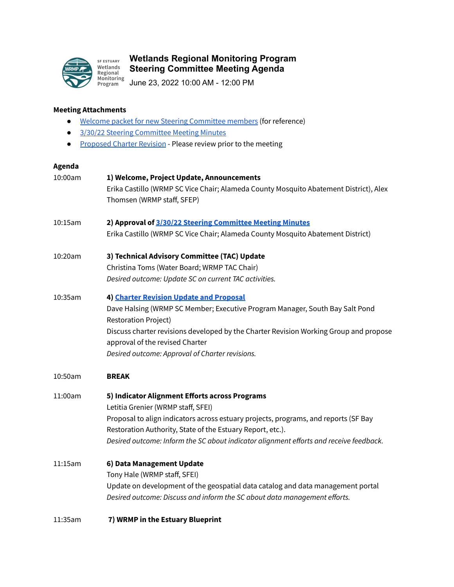

## **Wetlands Regional Monitoring Program Steering Committee Meeting Agenda**

June 23, 2022 10:00 AM - 12:00 PM

## **Meeting Attachments**

- Welcome packet for new Steering [Committee](https://docs.google.com/document/d/1XKOZxOU8aw3p2pixpUy3izMm0WQ-j4Dh21Q8znWidPA/edit?usp=sharing) members (for reference)
- 3/30/22 Steering [Committee](https://docs.google.com/document/d/17NFQJHaH9G1aOVjKQRsJ7cnwiUoUfQ_q1VIAvPyy43I/edit) Meeting Minutes
- **•** [Proposed](https://docs.google.com/document/d/13Sq5iKO6f7DTKwv6-MfCqTsB4YkPHmn4/edit?usp=sharing&ouid=113082920700784201320&rtpof=true&sd=true) Charter Revision Please review prior to the meeting

## **Agenda**

| 10:00am | 1) Welcome, Project Update, Announcements                                                                   |
|---------|-------------------------------------------------------------------------------------------------------------|
|         | Erika Castillo (WRMP SC Vice Chair; Alameda County Mosquito Abatement District), Alex                       |
|         | Thomsen (WRMP staff, SFEP)                                                                                  |
| 10:15am | 2) Approval of 3/30/22 Steering Committee Meeting Minutes                                                   |
|         | Erika Castillo (WRMP SC Vice Chair; Alameda County Mosquito Abatement District)                             |
| 10:20am | 3) Technical Advisory Committee (TAC) Update                                                                |
|         | Christina Toms (Water Board; WRMP TAC Chair)                                                                |
|         | Desired outcome: Update SC on current TAC activities.                                                       |
| 10:35am | 4) Charter Revision Update and Proposal                                                                     |
|         | Dave Halsing (WRMP SC Member; Executive Program Manager, South Bay Salt Pond<br><b>Restoration Project)</b> |
|         | Discuss charter revisions developed by the Charter Revision Working Group and propose                       |
|         | approval of the revised Charter                                                                             |
|         | Desired outcome: Approval of Charter revisions.                                                             |
| 10:50am | <b>BREAK</b>                                                                                                |
| 11:00am | 5) Indicator Alignment Efforts across Programs                                                              |
|         | Letitia Grenier (WRMP staff, SFEI)                                                                          |
|         | Proposal to align indicators across estuary projects, programs, and reports (SF Bay                         |
|         | Restoration Authority, State of the Estuary Report, etc.).                                                  |
|         | Desired outcome: Inform the SC about indicator alignment efforts and receive feedback.                      |
| 11:15am | 6) Data Management Update                                                                                   |
|         | Tony Hale (WRMP staff, SFEI)                                                                                |
|         | Update on development of the geospatial data catalog and data management portal                             |
|         | Desired outcome: Discuss and inform the SC about data management efforts.                                   |
| 11:35am | 7) WRMP in the Estuary Blueprint                                                                            |